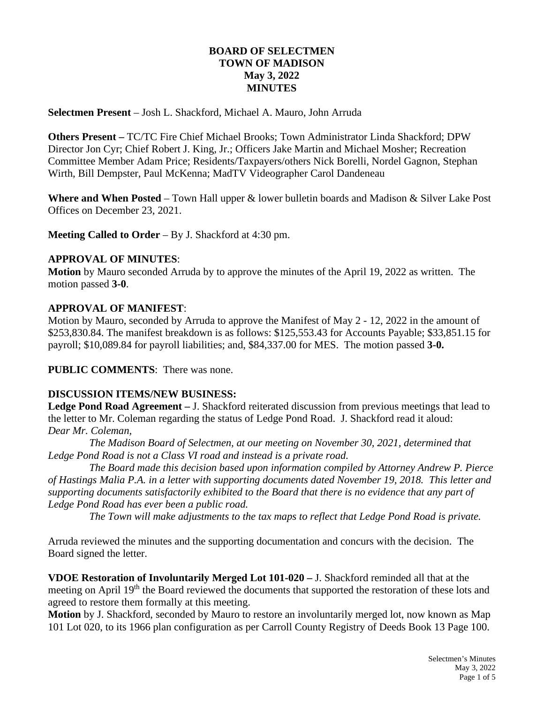# **BOARD OF SELECTMEN TOWN OF MADISON May 3, 2022 MINUTES**

**Selectmen Present** – Josh L. Shackford, Michael A. Mauro, John Arruda

**Others Present –** TC/TC Fire Chief Michael Brooks; Town Administrator Linda Shackford; DPW Director Jon Cyr; Chief Robert J. King, Jr.; Officers Jake Martin and Michael Mosher; Recreation Committee Member Adam Price; Residents/Taxpayers/others Nick Borelli, Nordel Gagnon, Stephan Wirth, Bill Dempster, Paul McKenna; MadTV Videographer Carol Dandeneau

**Where and When Posted** – Town Hall upper & lower bulletin boards and Madison & Silver Lake Post Offices on December 23, 2021.

**Meeting Called to Order** – By J. Shackford at 4:30 pm.

### **APPROVAL OF MINUTES**:

**Motion** by Mauro seconded Arruda by to approve the minutes of the April 19, 2022 as written. The motion passed **3-0**.

# **APPROVAL OF MANIFEST**:

Motion by Mauro, seconded by Arruda to approve the Manifest of May 2 - 12, 2022 in the amount of \$253,830.84. The manifest breakdown is as follows: \$125,553.43 for Accounts Payable; \$33,851.15 for payroll; \$10,089.84 for payroll liabilities; and, \$84,337.00 for MES. The motion passed **3-0.**

**PUBLIC COMMENTS**: There was none.

# **DISCUSSION ITEMS/NEW BUSINESS:**

**Ledge Pond Road Agreement –** J. Shackford reiterated discussion from previous meetings that lead to the letter to Mr. Coleman regarding the status of Ledge Pond Road. J. Shackford read it aloud: *Dear Mr. Coleman,*

*The Madison Board of Selectmen, at our meeting on November 30, 2021, determined that Ledge Pond Road is not a Class VI road and instead is a private road.*

*The Board made this decision based upon information compiled by Attorney Andrew P. Pierce of Hastings Malia P.A. in a letter with supporting documents dated November 19, 2018. This letter and supporting documents satisfactorily exhibited to the Board that there is no evidence that any part of Ledge Pond Road has ever been a public road.* 

*The Town will make adjustments to the tax maps to reflect that Ledge Pond Road is private.* 

Arruda reviewed the minutes and the supporting documentation and concurs with the decision. The Board signed the letter.

**VDOE Restoration of Involuntarily Merged Lot 101-020 –** J. Shackford reminded all that at the meeting on April 19<sup>th</sup> the Board reviewed the documents that supported the restoration of these lots and agreed to restore them formally at this meeting.

**Motion** by J. Shackford, seconded by Mauro to restore an involuntarily merged lot, now known as Map 101 Lot 020, to its 1966 plan configuration as per Carroll County Registry of Deeds Book 13 Page 100.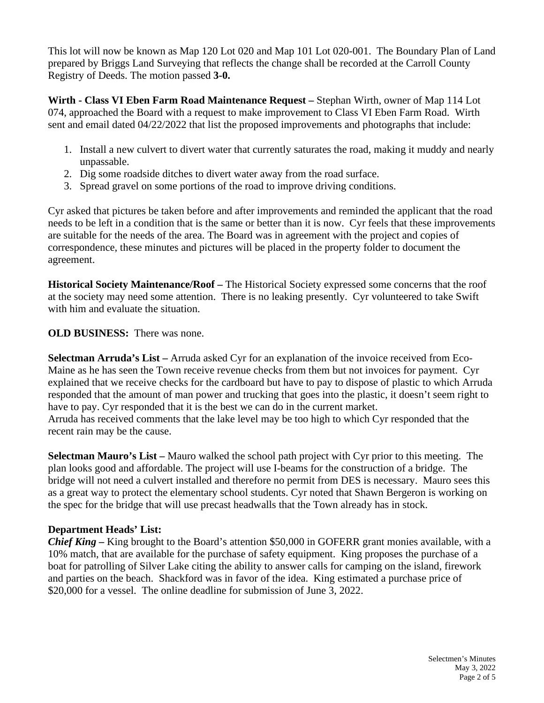This lot will now be known as Map 120 Lot 020 and Map 101 Lot 020-001. The Boundary Plan of Land prepared by Briggs Land Surveying that reflects the change shall be recorded at the Carroll County Registry of Deeds. The motion passed **3-0.**

**Wirth - Class VI Eben Farm Road Maintenance Request –** Stephan Wirth, owner of Map 114 Lot 074, approached the Board with a request to make improvement to Class VI Eben Farm Road. Wirth sent and email dated 04/22/2022 that list the proposed improvements and photographs that include:

- 1. Install a new culvert to divert water that currently saturates the road, making it muddy and nearly unpassable.
- 2. Dig some roadside ditches to divert water away from the road surface.
- 3. Spread gravel on some portions of the road to improve driving conditions.

Cyr asked that pictures be taken before and after improvements and reminded the applicant that the road needs to be left in a condition that is the same or better than it is now. Cyr feels that these improvements are suitable for the needs of the area. The Board was in agreement with the project and copies of correspondence, these minutes and pictures will be placed in the property folder to document the agreement.

**Historical Society Maintenance/Roof –** The Historical Society expressed some concerns that the roof at the society may need some attention. There is no leaking presently. Cyr volunteered to take Swift with him and evaluate the situation.

# **OLD BUSINESS:** There was none.

**Selectman Arruda's List –** Arruda asked Cyr for an explanation of the invoice received from Eco-Maine as he has seen the Town receive revenue checks from them but not invoices for payment. Cyr explained that we receive checks for the cardboard but have to pay to dispose of plastic to which Arruda responded that the amount of man power and trucking that goes into the plastic, it doesn't seem right to have to pay. Cyr responded that it is the best we can do in the current market. Arruda has received comments that the lake level may be too high to which Cyr responded that the recent rain may be the cause.

**Selectman Mauro's List –** Mauro walked the school path project with Cyr prior to this meeting. The plan looks good and affordable. The project will use I-beams for the construction of a bridge. The bridge will not need a culvert installed and therefore no permit from DES is necessary. Mauro sees this as a great way to protect the elementary school students. Cyr noted that Shawn Bergeron is working on the spec for the bridge that will use precast headwalls that the Town already has in stock.

# **Department Heads' List:**

*Chief King –* King brought to the Board's attention \$50,000 in GOFERR grant monies available, with a 10% match, that are available for the purchase of safety equipment. King proposes the purchase of a boat for patrolling of Silver Lake citing the ability to answer calls for camping on the island, firework and parties on the beach. Shackford was in favor of the idea. King estimated a purchase price of \$20,000 for a vessel. The online deadline for submission of June 3, 2022.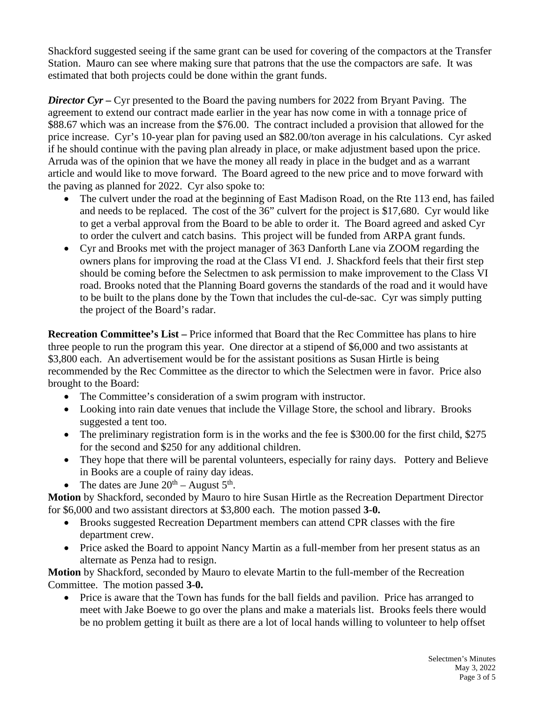Shackford suggested seeing if the same grant can be used for covering of the compactors at the Transfer Station. Mauro can see where making sure that patrons that the use the compactors are safe. It was estimated that both projects could be done within the grant funds.

*Director Cyr –* Cyr presented to the Board the paving numbers for 2022 from Bryant Paving. The agreement to extend our contract made earlier in the year has now come in with a tonnage price of \$88.67 which was an increase from the \$76.00. The contract included a provision that allowed for the price increase. Cyr's 10-year plan for paving used an \$82.00/ton average in his calculations. Cyr asked if he should continue with the paving plan already in place, or make adjustment based upon the price. Arruda was of the opinion that we have the money all ready in place in the budget and as a warrant article and would like to move forward. The Board agreed to the new price and to move forward with the paving as planned for 2022. Cyr also spoke to:

- The culvert under the road at the beginning of East Madison Road, on the Rte 113 end, has failed and needs to be replaced. The cost of the 36" culvert for the project is \$17,680. Cyr would like to get a verbal approval from the Board to be able to order it. The Board agreed and asked Cyr to order the culvert and catch basins. This project will be funded from ARPA grant funds.
- Cyr and Brooks met with the project manager of 363 Danforth Lane via ZOOM regarding the owners plans for improving the road at the Class VI end. J. Shackford feels that their first step should be coming before the Selectmen to ask permission to make improvement to the Class VI road. Brooks noted that the Planning Board governs the standards of the road and it would have to be built to the plans done by the Town that includes the cul-de-sac. Cyr was simply putting the project of the Board's radar.

**Recreation Committee's List –** Price informed that Board that the Rec Committee has plans to hire three people to run the program this year. One director at a stipend of \$6,000 and two assistants at \$3,800 each. An advertisement would be for the assistant positions as Susan Hirtle is being recommended by the Rec Committee as the director to which the Selectmen were in favor. Price also brought to the Board:

- The Committee's consideration of a swim program with instructor.
- Looking into rain date venues that include the Village Store, the school and library. Brooks suggested a tent too.
- The preliminary registration form is in the works and the fee is \$300.00 for the first child, \$275 for the second and \$250 for any additional children.
- They hope that there will be parental volunteers, especially for rainy days. Pottery and Believe in Books are a couple of rainy day ideas.
- The dates are June  $20^{th}$  August  $5^{th}$ .

**Motion** by Shackford, seconded by Mauro to hire Susan Hirtle as the Recreation Department Director for \$6,000 and two assistant directors at \$3,800 each. The motion passed **3-0.**

- Brooks suggested Recreation Department members can attend CPR classes with the fire department crew.
- Price asked the Board to appoint Nancy Martin as a full-member from her present status as an alternate as Penza had to resign.

**Motion** by Shackford, seconded by Mauro to elevate Martin to the full-member of the Recreation Committee. The motion passed **3-0.**

• Price is aware that the Town has funds for the ball fields and pavilion. Price has arranged to meet with Jake Boewe to go over the plans and make a materials list. Brooks feels there would be no problem getting it built as there are a lot of local hands willing to volunteer to help offset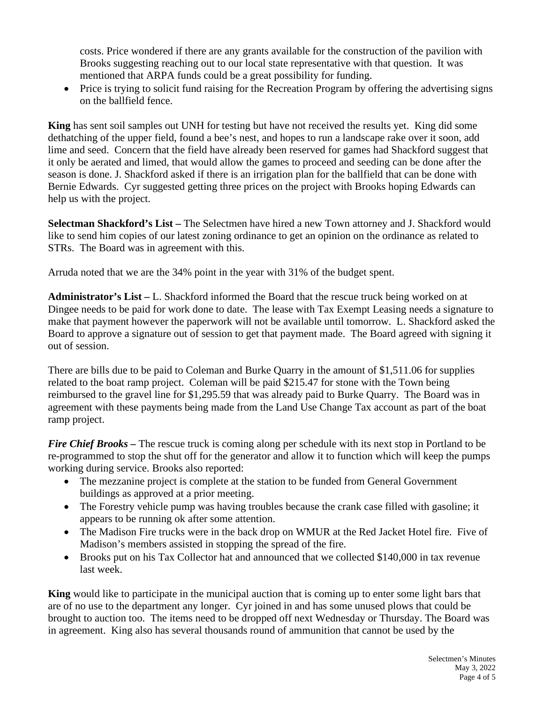costs. Price wondered if there are any grants available for the construction of the pavilion with Brooks suggesting reaching out to our local state representative with that question. It was mentioned that ARPA funds could be a great possibility for funding.

• Price is trying to solicit fund raising for the Recreation Program by offering the advertising signs on the ballfield fence.

**King** has sent soil samples out UNH for testing but have not received the results yet. King did some dethatching of the upper field, found a bee's nest, and hopes to run a landscape rake over it soon, add lime and seed. Concern that the field have already been reserved for games had Shackford suggest that it only be aerated and limed, that would allow the games to proceed and seeding can be done after the season is done. J. Shackford asked if there is an irrigation plan for the ballfield that can be done with Bernie Edwards. Cyr suggested getting three prices on the project with Brooks hoping Edwards can help us with the project.

**Selectman Shackford's List –** The Selectmen have hired a new Town attorney and J. Shackford would like to send him copies of our latest zoning ordinance to get an opinion on the ordinance as related to STRs. The Board was in agreement with this.

Arruda noted that we are the 34% point in the year with 31% of the budget spent.

**Administrator's List –** L. Shackford informed the Board that the rescue truck being worked on at Dingee needs to be paid for work done to date. The lease with Tax Exempt Leasing needs a signature to make that payment however the paperwork will not be available until tomorrow. L. Shackford asked the Board to approve a signature out of session to get that payment made. The Board agreed with signing it out of session.

There are bills due to be paid to Coleman and Burke Quarry in the amount of \$1,511.06 for supplies related to the boat ramp project. Coleman will be paid \$215.47 for stone with the Town being reimbursed to the gravel line for \$1,295.59 that was already paid to Burke Quarry. The Board was in agreement with these payments being made from the Land Use Change Tax account as part of the boat ramp project.

*Fire Chief Brooks* – The rescue truck is coming along per schedule with its next stop in Portland to be re-programmed to stop the shut off for the generator and allow it to function which will keep the pumps working during service. Brooks also reported:

- The mezzanine project is complete at the station to be funded from General Government buildings as approved at a prior meeting.
- The Forestry vehicle pump was having troubles because the crank case filled with gasoline; it appears to be running ok after some attention.
- The Madison Fire trucks were in the back drop on WMUR at the Red Jacket Hotel fire. Five of Madison's members assisted in stopping the spread of the fire.
- Brooks put on his Tax Collector hat and announced that we collected \$140,000 in tax revenue last week.

**King** would like to participate in the municipal auction that is coming up to enter some light bars that are of no use to the department any longer. Cyr joined in and has some unused plows that could be brought to auction too. The items need to be dropped off next Wednesday or Thursday. The Board was in agreement. King also has several thousands round of ammunition that cannot be used by the